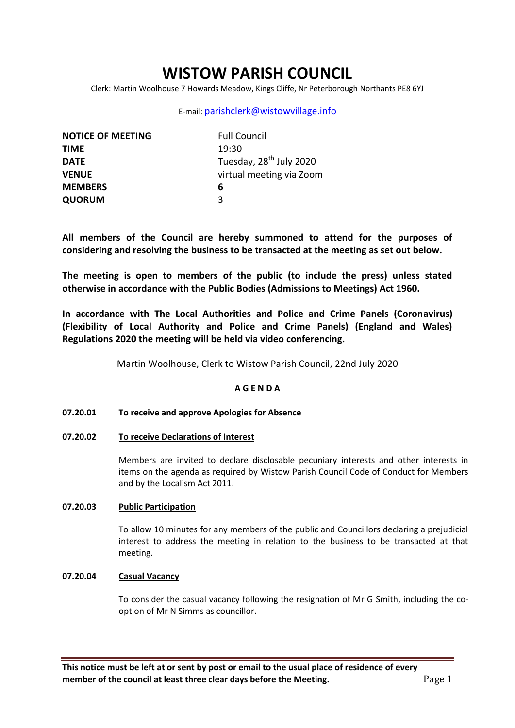# **WISTOW PARISH COUNCIL**

Clerk: Martin Woolhouse 7 Howards Meadow, Kings Cliffe, Nr Peterborough Northants PE8 6YJ

# E-mail: [parishclerk@wistowvillage.info](mailto:parishclerk@wistowvillage.info)

| <b>NOTICE OF MEETING</b> | <b>Full Council</b>                 |
|--------------------------|-------------------------------------|
| <b>TIME</b>              | 19:30                               |
| <b>DATE</b>              | Tuesday, 28 <sup>th</sup> July 2020 |
| <b>VENUE</b>             | virtual meeting via Zoom            |
| <b>MEMBERS</b>           | 6                                   |
| <b>QUORUM</b>            | 3                                   |

**All members of the Council are hereby summoned to attend for the purposes of considering and resolving the business to be transacted at the meeting as set out below.**

**The meeting is open to members of the public (to include the press) unless stated otherwise in accordance with the Public Bodies (Admissions to Meetings) Act 1960.**

**In accordance with The Local Authorities and Police and Crime Panels (Coronavirus) (Flexibility of Local Authority and Police and Crime Panels) (England and Wales) Regulations 2020 the meeting will be held via video conferencing.** 

Martin Woolhouse, Clerk to Wistow Parish Council, 22nd July 2020

# **A G E N D A**

# **07.20.01 To receive and approve Apologies for Absence**

**07.20.02 To receive Declarations of Interest**

Members are invited to declare disclosable pecuniary interests and other interests in items on the agenda as required by Wistow Parish Council Code of Conduct for Members and by the Localism Act 2011.

# **07.20.03 Public Participation**

To allow 10 minutes for any members of the public and Councillors declaring a prejudicial interest to address the meeting in relation to the business to be transacted at that meeting.

### **07.20.04 Casual Vacancy**

To consider the casual vacancy following the resignation of Mr G Smith, including the cooption of Mr N Simms as councillor.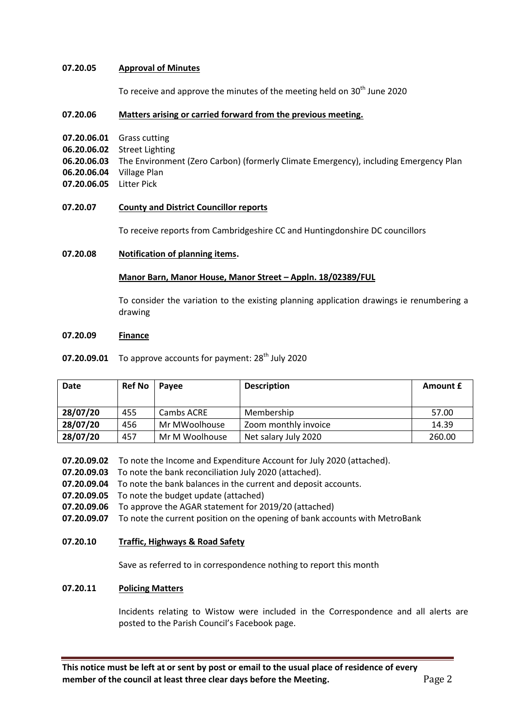### **07.20.05 Approval of Minutes**

To receive and approve the minutes of the meeting held on 30<sup>th</sup> June 2020

#### **07.20.06 Matters arising or carried forward from the previous meeting.**

- **07.20.06.01** Grass cutting
- **06.20.06.02** Street Lighting
- **06.20.06.03** The Environment (Zero Carbon) (formerly Climate Emergency), including Emergency Plan
- **06.20.06.04** Village Plan
- **07.20.06.05** Litter Pick

#### **07.20.07 County and District Councillor reports**

To receive reports from Cambridgeshire CC and Huntingdonshire DC councillors

### **07.20.08 Notification of planning items.**

#### **Manor Barn, Manor House, Manor Street – Appln. 18/02389/FUL**

To consider the variation to the existing planning application drawings ie renumbering a drawing

#### **07.20.09 Finance**

**07.20.09.01** To approve accounts for payment: 28<sup>th</sup> July 2020

| <b>Date</b> | <b>Ref No</b> | Pavee          | <b>Description</b>   | Amount £ |
|-------------|---------------|----------------|----------------------|----------|
|             |               |                |                      |          |
| 28/07/20    | 455           | Cambs ACRE     | Membership           | 57.00    |
| 28/07/20    | 456           | Mr MWoolhouse  | Zoom monthly invoice | 14.39    |
| 28/07/20    | 457           | Mr M Woolhouse | Net salary July 2020 | 260.00   |

- **07.20.09.02** To note the Income and Expenditure Account for July 2020 (attached).
- **07.20.09.03** To note the bank reconciliation July 2020 (attached).
- **07.20.09.04** To note the bank balances in the current and deposit accounts.
- **07.20.09.05** To note the budget update (attached)
- **07.20.09.06** To approve the AGAR statement for 2019/20 (attached)
- **07.20.09.07** To note the current position on the opening of bank accounts with MetroBank
- **07.20.10 Traffic, Highways & Road Safety**

Save as referred to in correspondence nothing to report this month

#### **07.20.11 Policing Matters**

Incidents relating to Wistow were included in the Correspondence and all alerts are posted to the Parish Council's Facebook page.